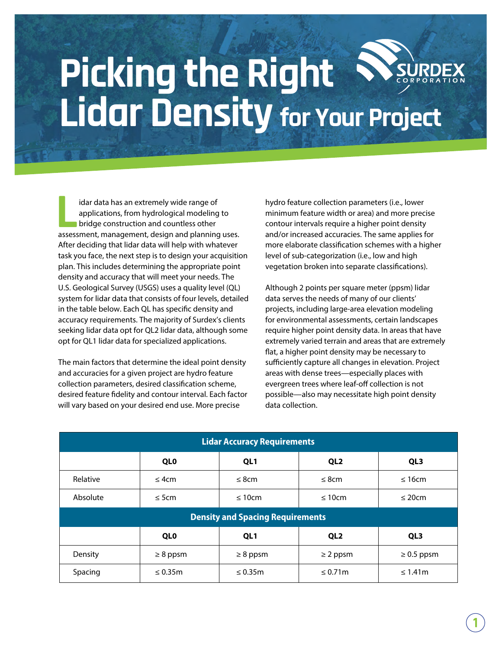## **Picking the Right Lidar Density for Your Project**

idar data has an extremely wide range of applications, from hydrological modeling to **bridge construction and countless other** idar data has an extremely wide range of<br>applications, from hydrological modeling to<br>bridge construction and countless other<br>assessment, management, design and planning uses. After deciding that lidar data will help with whatever task you face, the next step is to design your acquisition plan. This includes determining the appropriate point density and accuracy that will meet your needs. The U.S. Geological Survey (USGS) uses a quality level (QL) system for lidar data that consists of four levels, detailed in the table below. Each QL has specific density and accuracy requirements. The majority of Surdex's clients seeking lidar data opt for QL2 lidar data, although some opt for QL1 lidar data for specialized applications.

The main factors that determine the ideal point density and accuracies for a given project are hydro feature collection parameters, desired classification scheme, desired feature fidelity and contour interval. Each factor will vary based on your desired end use. More precise

hydro feature collection parameters (i.e., lower minimum feature width or area) and more precise contour intervals require a higher point density and/or increased accuracies. The same applies for more elaborate classification schemes with a higher level of sub-categorization (i.e., low and high vegetation broken into separate classifications).

Although 2 points per square meter (ppsm) lidar data serves the needs of many of our clients' projects, including large-area elevation modeling for environmental assessments, certain landscapes require higher point density data. In areas that have extremely varied terrain and areas that are extremely flat, a higher point density may be necessary to sufficiently capture all changes in elevation. Project areas with dense trees—especially places with evergreen trees where leaf-off collection is not possible—also may necessitate high point density data collection.

| <b>Lidar Accuracy Requirements</b>      |               |                 |                 |                 |
|-----------------------------------------|---------------|-----------------|-----------------|-----------------|
|                                         | <b>QLO</b>    | QL1             | QL <sub>2</sub> | QL <sub>3</sub> |
| Relative                                | $\leq$ 4cm    | $\leq$ 8cm      | $\leq$ 8cm      | $\leq 16$ cm    |
| Absolute                                | $\leq$ 5cm    | $\leq 10$ cm    | $\leq 10$ cm    | $\leq$ 20cm     |
| <b>Density and Spacing Requirements</b> |               |                 |                 |                 |
|                                         | <b>QLO</b>    | QL <sub>1</sub> | QL <sub>2</sub> | QL <sub>3</sub> |
| Density                                 | $\geq 8$ ppsm | $\geq 8$ ppsm   | $\geq$ 2 ppsm   | $\geq 0.5$ ppsm |
| Spacing                                 | $\leq 0.35$ m | $\leq 0.35$ m   | $\leq 0.71$ m   | $\leq 1.41$ m   |